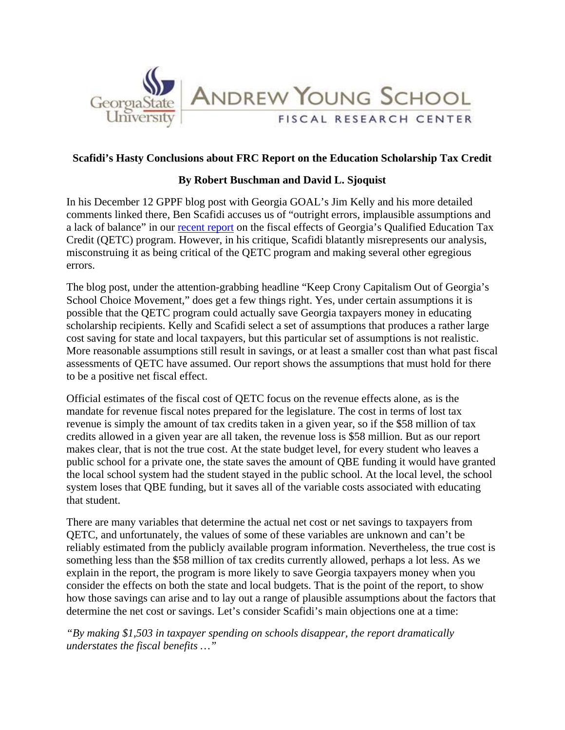

## **Scafidi's Hasty Conclusions about FRC Report on the Education Scholarship Tax Credit**

## **By Robert Buschman and David L. Sjoquist**

In his December 12 GPPF blog post with Georgia GOAL's Jim Kelly and his more detailed comments linked there, Ben Scafidi accuses us of "outright errors, implausible assumptions and a lack of balance" in our recent report on the fiscal effects of Georgia's Qualified Education Tax Credit (QETC) program. However, in his critique, Scafidi blatantly misrepresents our analysis, misconstruing it as being critical of the QETC program and making several other egregious errors.

The blog post, under the attention-grabbing headline "Keep Crony Capitalism Out of Georgia's School Choice Movement," does get a few things right. Yes, under certain assumptions it is possible that the QETC program could actually save Georgia taxpayers money in educating scholarship recipients. Kelly and Scafidi select a set of assumptions that produces a rather large cost saving for state and local taxpayers, but this particular set of assumptions is not realistic. More reasonable assumptions still result in savings, or at least a smaller cost than what past fiscal assessments of QETC have assumed. Our report shows the assumptions that must hold for there to be a positive net fiscal effect.

Official estimates of the fiscal cost of QETC focus on the revenue effects alone, as is the mandate for revenue fiscal notes prepared for the legislature. The cost in terms of lost tax revenue is simply the amount of tax credits taken in a given year, so if the \$58 million of tax credits allowed in a given year are all taken, the revenue loss is \$58 million. But as our report makes clear, that is not the true cost. At the state budget level, for every student who leaves a public school for a private one, the state saves the amount of QBE funding it would have granted the local school system had the student stayed in the public school. At the local level, the school system loses that QBE funding, but it saves all of the variable costs associated with educating that student.

There are many variables that determine the actual net cost or net savings to taxpayers from QETC, and unfortunately, the values of some of these variables are unknown and can't be reliably estimated from the publicly available program information. Nevertheless, the true cost is something less than the \$58 million of tax credits currently allowed, perhaps a lot less. As we explain in the report, the program is more likely to save Georgia taxpayers money when you consider the effects on both the state and local budgets. That is the point of the report, to show how those savings can arise and to lay out a range of plausible assumptions about the factors that determine the net cost or savings. Let's consider Scafidi's main objections one at a time:

*"By making \$1,503 in taxpayer spending on schools disappear, the report dramatically understates the fiscal benefits …"*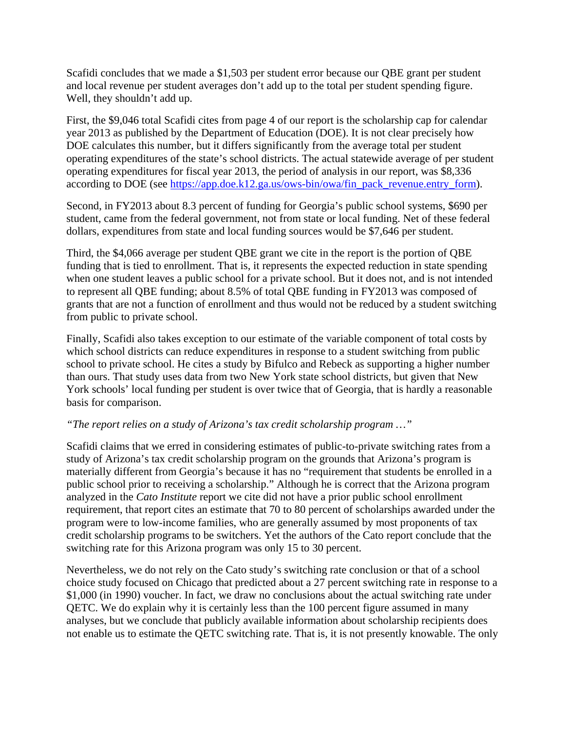Scafidi concludes that we made a \$1,503 per student error because our QBE grant per student and local revenue per student averages don't add up to the total per student spending figure. Well, they shouldn't add up.

First, the \$9,046 total Scafidi cites from page 4 of our report is the scholarship cap for calendar year 2013 as published by the Department of Education (DOE). It is not clear precisely how DOE calculates this number, but it differs significantly from the average total per student operating expenditures of the state's school districts. The actual statewide average of per student operating expenditures for fiscal year 2013, the period of analysis in our report, was \$8,336 according to DOE (see https://app.doe.k12.ga.us/ows-bin/owa/fin\_pack\_revenue.entry\_form).

Second, in FY2013 about 8.3 percent of funding for Georgia's public school systems, \$690 per student, came from the federal government, not from state or local funding. Net of these federal dollars, expenditures from state and local funding sources would be \$7,646 per student.

Third, the \$4,066 average per student QBE grant we cite in the report is the portion of QBE funding that is tied to enrollment. That is, it represents the expected reduction in state spending when one student leaves a public school for a private school. But it does not, and is not intended to represent all QBE funding; about 8.5% of total QBE funding in FY2013 was composed of grants that are not a function of enrollment and thus would not be reduced by a student switching from public to private school.

Finally, Scafidi also takes exception to our estimate of the variable component of total costs by which school districts can reduce expenditures in response to a student switching from public school to private school. He cites a study by Bifulco and Rebeck as supporting a higher number than ours. That study uses data from two New York state school districts, but given that New York schools' local funding per student is over twice that of Georgia, that is hardly a reasonable basis for comparison.

#### *"The report relies on a study of Arizona's tax credit scholarship program …"*

Scafidi claims that we erred in considering estimates of public-to-private switching rates from a study of Arizona's tax credit scholarship program on the grounds that Arizona's program is materially different from Georgia's because it has no "requirement that students be enrolled in a public school prior to receiving a scholarship." Although he is correct that the Arizona program analyzed in the *Cato Institute* report we cite did not have a prior public school enrollment requirement, that report cites an estimate that 70 to 80 percent of scholarships awarded under the program were to low-income families, who are generally assumed by most proponents of tax credit scholarship programs to be switchers. Yet the authors of the Cato report conclude that the switching rate for this Arizona program was only 15 to 30 percent.

Nevertheless, we do not rely on the Cato study's switching rate conclusion or that of a school choice study focused on Chicago that predicted about a 27 percent switching rate in response to a \$1,000 (in 1990) voucher. In fact, we draw no conclusions about the actual switching rate under QETC. We do explain why it is certainly less than the 100 percent figure assumed in many analyses, but we conclude that publicly available information about scholarship recipients does not enable us to estimate the QETC switching rate. That is, it is not presently knowable. The only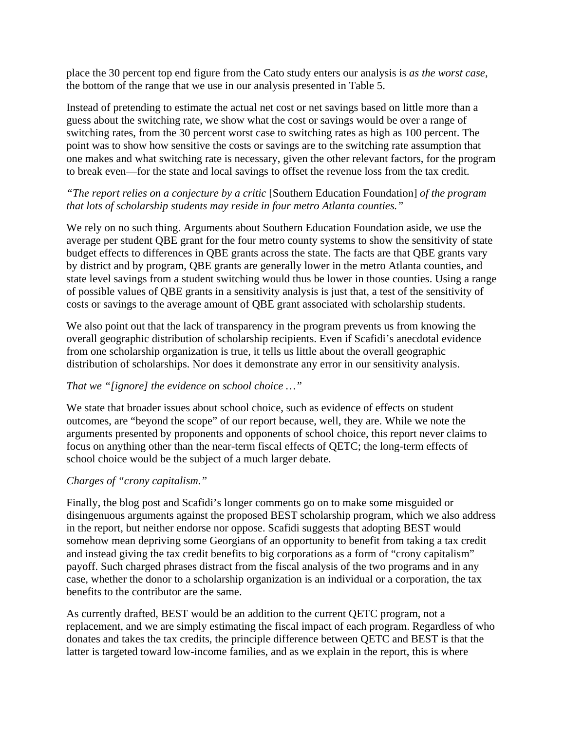place the 30 percent top end figure from the Cato study enters our analysis is *as the worst case*, the bottom of the range that we use in our analysis presented in Table 5.

Instead of pretending to estimate the actual net cost or net savings based on little more than a guess about the switching rate, we show what the cost or savings would be over a range of switching rates, from the 30 percent worst case to switching rates as high as 100 percent. The point was to show how sensitive the costs or savings are to the switching rate assumption that one makes and what switching rate is necessary, given the other relevant factors, for the program to break even—for the state and local savings to offset the revenue loss from the tax credit.

## *"The report relies on a conjecture by a critic* [Southern Education Foundation] *of the program that lots of scholarship students may reside in four metro Atlanta counties."*

We rely on no such thing. Arguments about Southern Education Foundation aside, we use the average per student QBE grant for the four metro county systems to show the sensitivity of state budget effects to differences in QBE grants across the state. The facts are that QBE grants vary by district and by program, QBE grants are generally lower in the metro Atlanta counties, and state level savings from a student switching would thus be lower in those counties. Using a range of possible values of QBE grants in a sensitivity analysis is just that, a test of the sensitivity of costs or savings to the average amount of QBE grant associated with scholarship students.

We also point out that the lack of transparency in the program prevents us from knowing the overall geographic distribution of scholarship recipients. Even if Scafidi's anecdotal evidence from one scholarship organization is true, it tells us little about the overall geographic distribution of scholarships. Nor does it demonstrate any error in our sensitivity analysis.

# *That we "[ignore] the evidence on school choice …"*

We state that broader issues about school choice, such as evidence of effects on student outcomes, are "beyond the scope" of our report because, well, they are. While we note the arguments presented by proponents and opponents of school choice, this report never claims to focus on anything other than the near-term fiscal effects of QETC; the long-term effects of school choice would be the subject of a much larger debate.

# *Charges of "crony capitalism."*

Finally, the blog post and Scafidi's longer comments go on to make some misguided or disingenuous arguments against the proposed BEST scholarship program, which we also address in the report, but neither endorse nor oppose. Scafidi suggests that adopting BEST would somehow mean depriving some Georgians of an opportunity to benefit from taking a tax credit and instead giving the tax credit benefits to big corporations as a form of "crony capitalism" payoff. Such charged phrases distract from the fiscal analysis of the two programs and in any case, whether the donor to a scholarship organization is an individual or a corporation, the tax benefits to the contributor are the same.

As currently drafted, BEST would be an addition to the current QETC program, not a replacement, and we are simply estimating the fiscal impact of each program. Regardless of who donates and takes the tax credits, the principle difference between QETC and BEST is that the latter is targeted toward low-income families, and as we explain in the report, this is where